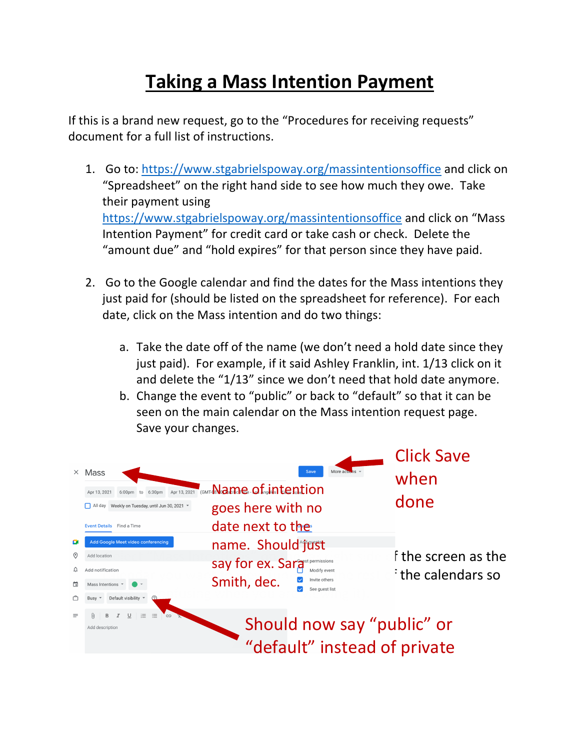## **Taking a Mass Intention Payment**

If this is a brand new request, go to the "Procedures for receiving requests" document for a full list of instructions.

- 1. Go to: https://www.stgabrielspoway.org/massintentionsoffice and click on "Spreadsheet" on the right hand side to see how much they owe. Take their payment using https://www.stgabrielspoway.org/massintentionsoffice and click on "Mass Intention Payment" for credit card or take cash or check. Delete the "amount due" and "hold expires" for that person since they have paid.
- 2. Go to the Google calendar and find the dates for the Mass intentions they just paid for (should be listed on the spreadsheet for reference). For each date, click on the Mass intention and do two things:
	- a. Take the date off of the name (we don't need a hold date since they just paid). For example, if it said Ashley Franklin, int. 1/13 click on it and delete the "1/13" since we don't need that hold date anymore.
	- b. Change the event to "public" or back to "default" so that it can be seen on the main calendar on the Mass intention request page. Save your changes.